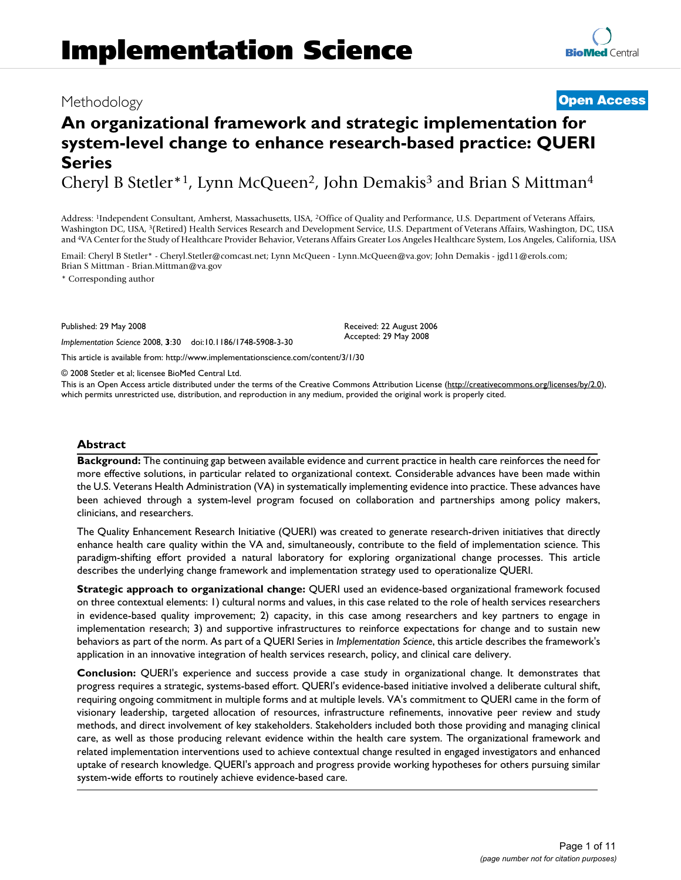## Methodology **[Open Access](http://www.biomedcentral.com/info/about/charter/)**

# **An organizational framework and strategic implementation for system-level change to enhance research-based practice: QUERI Series**

Cheryl B Stetler<sup>\*1</sup>, Lynn McQueen<sup>2</sup>, John Demakis<sup>3</sup> and Brian S Mittman<sup>4</sup>

Address: 1Independent Consultant, Amherst, Massachusetts, USA, 2Office of Quality and Performance, U.S. Department of Veterans Affairs, Washington DC, USA, 3(Retired) Health Services Research and Development Service, U.S. Department of Veterans Affairs, Washington, DC, USA and 4VA Center for the Study of Healthcare Provider Behavior, Veterans Affairs Greater Los Angeles Healthcare System, Los Angeles, California, USA

Email: Cheryl B Stetler\* - Cheryl.Stetler@comcast.net; Lynn McQueen - Lynn.McQueen@va.gov; John Demakis - jgd11@erols.com; Brian S Mittman - Brian.Mittman@va.gov

\* Corresponding author

Published: 29 May 2008

*Implementation Science* 2008, **3**:30 doi:10.1186/1748-5908-3-30

Received: 22 August 2006 Accepted: 29 May 2008

[This article is available from: http://www.implementationscience.com/content/3/1/30](http://www.implementationscience.com/content/3/1/30)

© 2008 Stetler et al; licensee BioMed Central Ltd.

This is an Open Access article distributed under the terms of the Creative Commons Attribution License [\(http://creativecommons.org/licenses/by/2.0\)](http://creativecommons.org/licenses/by/2.0), which permits unrestricted use, distribution, and reproduction in any medium, provided the original work is properly cited.

#### **Abstract**

**Background:** The continuing gap between available evidence and current practice in health care reinforces the need for more effective solutions, in particular related to organizational context. Considerable advances have been made within the U.S. Veterans Health Administration (VA) in systematically implementing evidence into practice. These advances have been achieved through a system-level program focused on collaboration and partnerships among policy makers, clinicians, and researchers.

The Quality Enhancement Research Initiative (QUERI) was created to generate research-driven initiatives that directly enhance health care quality within the VA and, simultaneously, contribute to the field of implementation science. This paradigm-shifting effort provided a natural laboratory for exploring organizational change processes. This article describes the underlying change framework and implementation strategy used to operationalize QUERI.

**Strategic approach to organizational change:** QUERI used an evidence-based organizational framework focused on three contextual elements: 1) cultural norms and values, in this case related to the role of health services researchers in evidence-based quality improvement; 2) capacity, in this case among researchers and key partners to engage in implementation research; 3) and supportive infrastructures to reinforce expectations for change and to sustain new behaviors as part of the norm. As part of a QUERI Series in *Implementation Science*, this article describes the framework's application in an innovative integration of health services research, policy, and clinical care delivery.

**Conclusion:** QUERI's experience and success provide a case study in organizational change. It demonstrates that progress requires a strategic, systems-based effort. QUERI's evidence-based initiative involved a deliberate cultural shift, requiring ongoing commitment in multiple forms and at multiple levels. VA's commitment to QUERI came in the form of visionary leadership, targeted allocation of resources, infrastructure refinements, innovative peer review and study methods, and direct involvement of key stakeholders. Stakeholders included both those providing and managing clinical care, as well as those producing relevant evidence within the health care system. The organizational framework and related implementation interventions used to achieve contextual change resulted in engaged investigators and enhanced uptake of research knowledge. QUERI's approach and progress provide working hypotheses for others pursuing similar system-wide efforts to routinely achieve evidence-based care.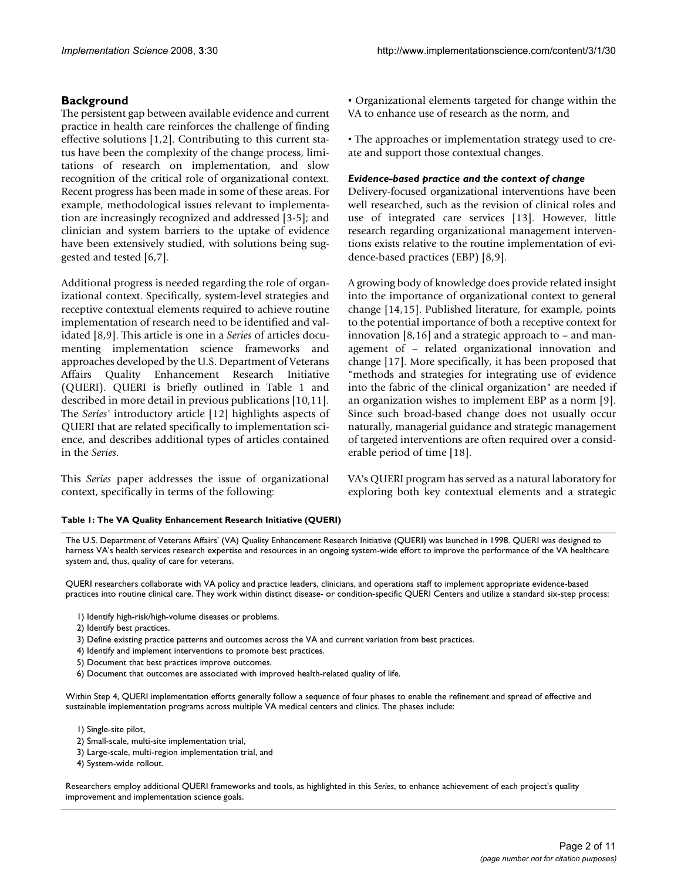### **Background**

The persistent gap between available evidence and current practice in health care reinforces the challenge of finding effective solutions [[1](#page-9-0),[2](#page-9-1)]. Contributing to this current status have been the complexity of the change process, limitations of research on implementation, and slow recognition of the critical role of organizational context. Recent progress has been made in some of these areas. For example, methodological issues relevant to implementation are increasingly recognized and addressed [[3-](#page-9-2)[5](#page-9-3)]; and clinician and system barriers to the uptake of evidence have been extensively studied, with solutions being suggested and tested [[6](#page-9-4),[7](#page-9-5)].

Additional progress is needed regarding the role of organizational context. Specifically, system-level strategies and receptive contextual elements required to achieve routine implementation of research need to be identified and validated [\[8](#page-9-6)[,9\]](#page-9-7). This article is one in a *Series* of articles documenting implementation science frameworks and approaches developed by the U.S. Department of Veterans Affairs Quality Enhancement Research Initiative (QUERI). QUERI is briefly outlined in Table [1](#page-1-0) and described in more detail in previous publications [[10](#page-9-8)[,11](#page-9-9)]. The *Series'* introductory article [\[12\]](#page-9-10) highlights aspects of QUERI that are related specifically to implementation science, and describes additional types of articles contained in the *Series*.

This *Series* paper addresses the issue of organizational context, specifically in terms of the following:

▪ Organizational elements targeted for change within the VA to enhance use of research as the norm, and

▪ The approaches or implementation strategy used to create and support those contextual changes.

#### *Evidence-based practice and the context of change*

Delivery-focused organizational interventions have been well researched, such as the revision of clinical roles and use of integrated care services [\[13\]](#page-9-11). However, little research regarding organizational management interventions exists relative to the routine implementation of evidence-based practices (EBP) [[8](#page-9-6),[9](#page-9-7)].

A growing body of knowledge does provide related insight into the importance of organizational context to general change [\[14](#page-9-12),[15](#page-9-13)]. Published literature, for example, points to the potential importance of both a receptive context for innovation [[8](#page-9-6),[16](#page-9-14)] and a strategic approach to – and management of – related organizational innovation and change [\[17\]](#page-9-15). More specifically, it has been proposed that "methods and strategies for integrating use of evidence into the fabric of the clinical organization" are needed if an organization wishes to implement EBP as a norm [[9](#page-9-7)]. Since such broad-based change does not usually occur naturally, managerial guidance and strategic management of targeted interventions are often required over a considerable period of time [[18](#page-9-16)].

VA's QUERI program has served as a natural laboratory for exploring both key contextual elements and a strategic

#### <span id="page-1-0"></span>**Table 1: The VA Quality Enhancement Research Initiative (QUERI)**

The U.S. Department of Veterans Affairs' (VA) Quality Enhancement Research Initiative (QUERI) was launched in 1998. QUERI was designed to harness VA's health services research expertise and resources in an ongoing system-wide effort to improve the performance of the VA healthcare system and, thus, quality of care for veterans.

QUERI researchers collaborate with VA policy and practice leaders, clinicians, and operations staff to implement appropriate evidence-based practices into routine clinical care. They work within distinct disease- or condition-specific QUERI Centers and utilize a standard six-step process:

- 1) Identify high-risk/high-volume diseases or problems.
- 2) Identify best practices.
- 3) Define existing practice patterns and outcomes across the VA and current variation from best practices.
- 4) Identify and implement interventions to promote best practices.
- 5) Document that best practices improve outcomes.
- 6) Document that outcomes are associated with improved health-related quality of life.

Within Step 4, QUERI implementation efforts generally follow a sequence of four phases to enable the refinement and spread of effective and sustainable implementation programs across multiple VA medical centers and clinics. The phases include:

- 1) Single-site pilot,
- 2) Small-scale, multi-site implementation trial,
- 3) Large-scale, multi-region implementation trial, and
- 4) System-wide rollout.

Researchers employ additional QUERI frameworks and tools, as highlighted in this *Series*, to enhance achievement of each project's quality improvement and implementation science goals.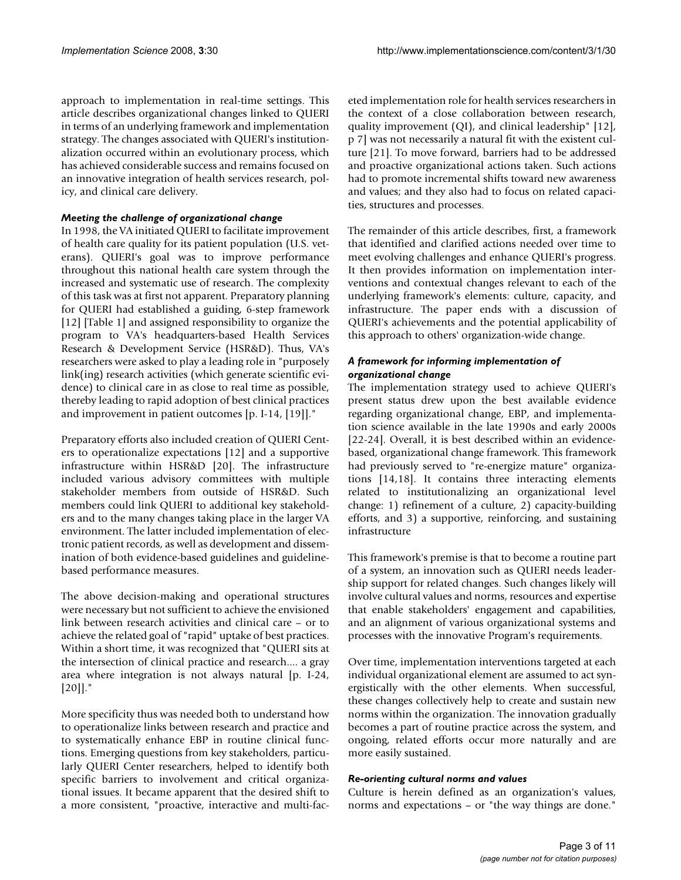approach to implementation in real-time settings. This article describes organizational changes linked to QUERI in terms of an underlying framework and implementation strategy. The changes associated with QUERI's institutionalization occurred within an evolutionary process, which has achieved considerable success and remains focused on an innovative integration of health services research, policy, and clinical care delivery.

#### *Meeting the challenge of organizational change*

In 1998, the VA initiated QUERI to facilitate improvement of health care quality for its patient population (U.S. veterans). QUERI's goal was to improve performance throughout this national health care system through the increased and systematic use of research. The complexity of this task was at first not apparent. Preparatory planning for QUERI had established a guiding, 6-step framework [[12](#page-9-10)] [Table [1\]](#page-1-0) and assigned responsibility to organize the program to VA's headquarters-based Health Services Research & Development Service (HSR&D). Thus, VA's researchers were asked to play a leading role in "purposely link(ing) research activities (which generate scientific evidence) to clinical care in as close to real time as possible, thereby leading to rapid adoption of best clinical practices and improvement in patient outcomes [p. I-14, [[19\]](#page-9-17)]."

Preparatory efforts also included creation of QUERI Centers to operationalize expectations [[12\]](#page-9-10) and a supportive infrastructure within HSR&D [[20](#page-9-18)]. The infrastructure included various advisory committees with multiple stakeholder members from outside of HSR&D. Such members could link QUERI to additional key stakeholders and to the many changes taking place in the larger VA environment. The latter included implementation of electronic patient records, as well as development and dissemination of both evidence-based guidelines and guidelinebased performance measures.

The above decision-making and operational structures were necessary but not sufficient to achieve the envisioned link between research activities and clinical care – or to achieve the related goal of "rapid" uptake of best practices. Within a short time, it was recognized that "QUERI sits at the intersection of clinical practice and research.... a gray area where integration is not always natural [p. I-24, [[20](#page-9-18)]]."

More specificity thus was needed both to understand how to operationalize links between research and practice and to systematically enhance EBP in routine clinical functions. Emerging questions from key stakeholders, particularly QUERI Center researchers, helped to identify both specific barriers to involvement and critical organizational issues. It became apparent that the desired shift to a more consistent, "proactive, interactive and multi-faceted implementation role for health services researchers in the context of a close collaboration between research, quality improvement (QI), and clinical leadership" [\[12](#page-9-10)], p 7] was not necessarily a natural fit with the existent culture [\[21\]](#page-9-19). To move forward, barriers had to be addressed and proactive organizational actions taken. Such actions had to promote incremental shifts toward new awareness and values; and they also had to focus on related capacities, structures and processes.

The remainder of this article describes, first, a framework that identified and clarified actions needed over time to meet evolving challenges and enhance QUERI's progress. It then provides information on implementation interventions and contextual changes relevant to each of the underlying framework's elements: culture, capacity, and infrastructure. The paper ends with a discussion of QUERI's achievements and the potential applicability of this approach to others' organization-wide change.

#### *A framework for informing implementation of organizational change*

The implementation strategy used to achieve QUERI's present status drew upon the best available evidence regarding organizational change, EBP, and implementation science available in the late 1990s and early 2000s [[22](#page-9-20)[-24](#page-10-0)]. Overall, it is best described within an evidencebased, organizational change framework. This framework had previously served to "re-energize mature" organizations [\[14](#page-9-12),[18\]](#page-9-16). It contains three interacting elements related to institutionalizing an organizational level change: 1) refinement of a culture, 2) capacity-building efforts, and 3) a supportive, reinforcing, and sustaining infrastructure

This framework's premise is that to become a routine part of a system, an innovation such as QUERI needs leadership support for related changes. Such changes likely will involve cultural values and norms, resources and expertise that enable stakeholders' engagement and capabilities, and an alignment of various organizational systems and processes with the innovative Program's requirements.

Over time, implementation interventions targeted at each individual organizational element are assumed to act synergistically with the other elements. When successful, these changes collectively help to create and sustain new norms within the organization. The innovation gradually becomes a part of routine practice across the system, and ongoing, related efforts occur more naturally and are more easily sustained.

#### *Re-orienting cultural norms and values*

Culture is herein defined as an organization's values, norms and expectations – or "the way things are done."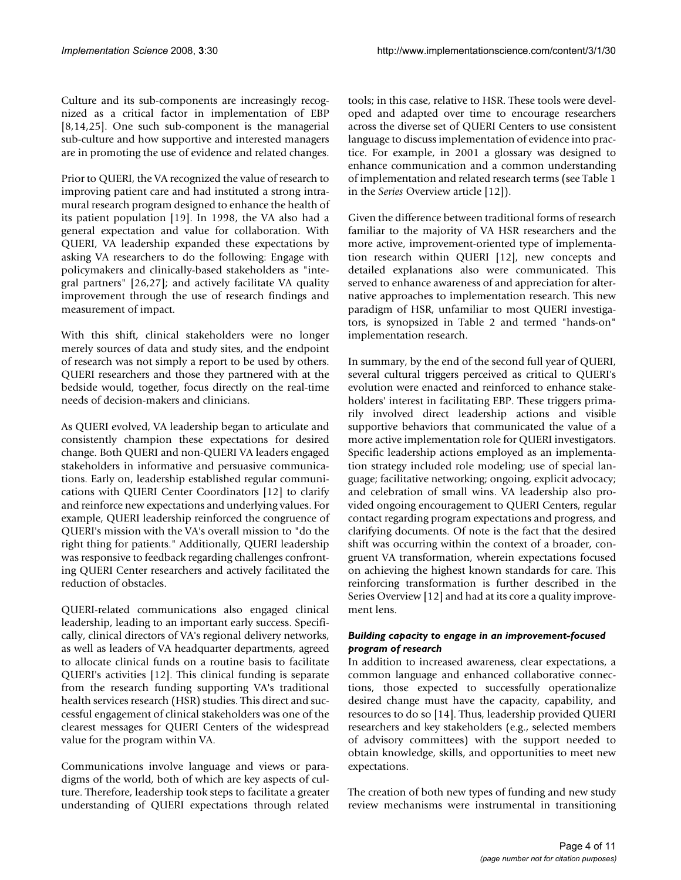Culture and its sub-components are increasingly recognized as a critical factor in implementation of EBP [[8](#page-9-6)[,14](#page-9-12),[25\]](#page-10-1). One such sub-component is the managerial sub-culture and how supportive and interested managers are in promoting the use of evidence and related changes.

Prior to QUERI, the VA recognized the value of research to improving patient care and had instituted a strong intramural research program designed to enhance the health of its patient population [\[19](#page-9-17)]. In 1998, the VA also had a general expectation and value for collaboration. With QUERI, VA leadership expanded these expectations by asking VA researchers to do the following: Engage with policymakers and clinically-based stakeholders as "integral partners" [[26,](#page-10-2)[27](#page-10-3)]; and actively facilitate VA quality improvement through the use of research findings and measurement of impact.

With this shift, clinical stakeholders were no longer merely sources of data and study sites, and the endpoint of research was not simply a report to be used by others. QUERI researchers and those they partnered with at the bedside would, together, focus directly on the real-time needs of decision-makers and clinicians.

As QUERI evolved, VA leadership began to articulate and consistently champion these expectations for desired change. Both QUERI and non-QUERI VA leaders engaged stakeholders in informative and persuasive communications. Early on, leadership established regular communications with QUERI Center Coordinators [\[12\]](#page-9-10) to clarify and reinforce new expectations and underlying values. For example, QUERI leadership reinforced the congruence of QUERI's mission with the VA's overall mission to "do the right thing for patients." Additionally, QUERI leadership was responsive to feedback regarding challenges confronting QUERI Center researchers and actively facilitated the reduction of obstacles.

QUERI-related communications also engaged clinical leadership, leading to an important early success. Specifically, clinical directors of VA's regional delivery networks, as well as leaders of VA headquarter departments, agreed to allocate clinical funds on a routine basis to facilitate QUERI's activities [\[12](#page-9-10)]. This clinical funding is separate from the research funding supporting VA's traditional health services research (HSR) studies. This direct and successful engagement of clinical stakeholders was one of the clearest messages for QUERI Centers of the widespread value for the program within VA.

Communications involve language and views or paradigms of the world, both of which are key aspects of culture. Therefore, leadership took steps to facilitate a greater understanding of QUERI expectations through related

tools; in this case, relative to HSR. These tools were developed and adapted over time to encourage researchers across the diverse set of QUERI Centers to use consistent language to discuss implementation of evidence into practice. For example, in 2001 a glossary was designed to enhance communication and a common understanding of implementation and related research terms (see Table 1 in the *Series* Overview article [\[12\]](#page-9-10)).

Given the difference between traditional forms of research familiar to the majority of VA HSR researchers and the more active, improvement-oriented type of implementation research within QUERI [\[12](#page-9-10)], new concepts and detailed explanations also were communicated. This served to enhance awareness of and appreciation for alternative approaches to implementation research. This new paradigm of HSR, unfamiliar to most QUERI investigators, is synopsized in Table [2](#page-4-0) and termed "hands-on" implementation research.

In summary, by the end of the second full year of QUERI, several cultural triggers perceived as critical to QUERI's evolution were enacted and reinforced to enhance stakeholders' interest in facilitating EBP. These triggers primarily involved direct leadership actions and visible supportive behaviors that communicated the value of a more active implementation role for QUERI investigators. Specific leadership actions employed as an implementation strategy included role modeling; use of special language; facilitative networking; ongoing, explicit advocacy; and celebration of small wins. VA leadership also provided ongoing encouragement to QUERI Centers, regular contact regarding program expectations and progress, and clarifying documents. Of note is the fact that the desired shift was occurring within the context of a broader, congruent VA transformation, wherein expectations focused on achieving the highest known standards for care. This reinforcing transformation is further described in the Series Overview [\[12](#page-9-10)] and had at its core a quality improvement lens.

#### *Building capacity to engage in an improvement-focused program of research*

In addition to increased awareness, clear expectations, a common language and enhanced collaborative connections, those expected to successfully operationalize desired change must have the capacity, capability, and resources to do so [[14\]](#page-9-12). Thus, leadership provided QUERI researchers and key stakeholders (e.g., selected members of advisory committees) with the support needed to obtain knowledge, skills, and opportunities to meet new expectations.

The creation of both new types of funding and new study review mechanisms were instrumental in transitioning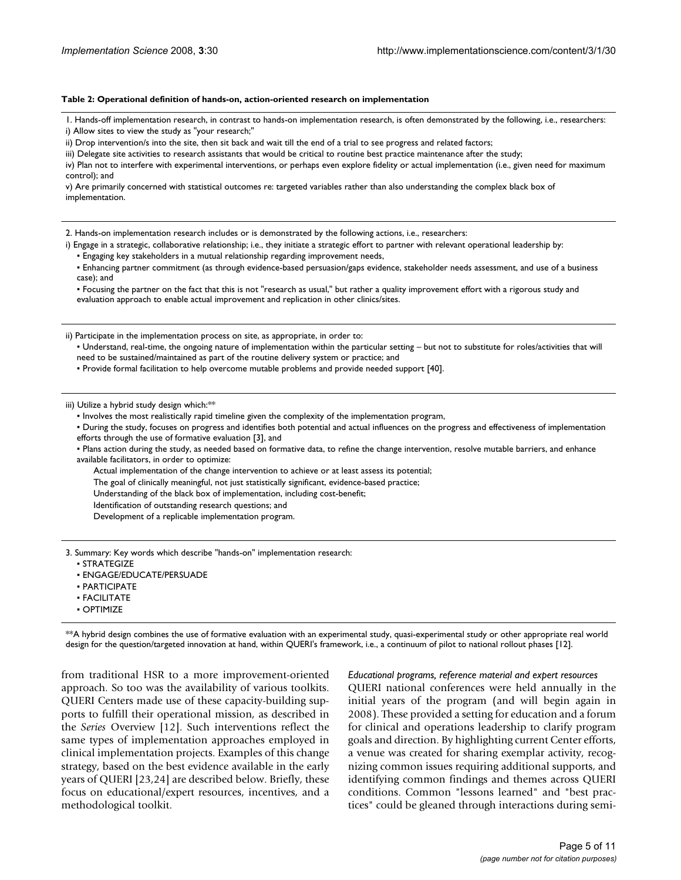#### <span id="page-4-0"></span>**Table 2: Operational definition of hands-on, action-oriented research on implementation**

1. Hands-off implementation research, in contrast to hands-on implementation research, is often demonstrated by the following, i.e., researchers: i) Allow sites to view the study as "your research;"

ii) Drop intervention/s into the site, then sit back and wait till the end of a trial to see progress and related factors;

iii) Delegate site activities to research assistants that would be critical to routine best practice maintenance after the study;

iv) Plan not to interfere with experimental interventions, or perhaps even explore fidelity or actual implementation (i.e., given need for maximum control); and

v) Are primarily concerned with statistical outcomes re: targeted variables rather than also understanding the complex black box of implementation.

2. Hands-on implementation research includes or is demonstrated by the following actions, i.e., researchers:

i) Engage in a strategic, collaborative relationship; i.e., they initiate a strategic effort to partner with relevant operational leadership by:

▪ Engaging key stakeholders in a mutual relationship regarding improvement needs,

▪ Enhancing partner commitment (as through evidence-based persuasion/gaps evidence, stakeholder needs assessment, and use of a business case); and

▪ Focusing the partner on the fact that this is not "research as usual," but rather a quality improvement effort with a rigorous study and evaluation approach to enable actual improvement and replication in other clinics/sites.

ii) Participate in the implementation process on site, as appropriate, in order to:

▪ Understand, real-time, the ongoing nature of implementation within the particular setting – but not to substitute for roles/activities that will need to be sustained/maintained as part of the routine delivery system or practice; and

▪ Provide formal facilitation to help overcome mutable problems and provide needed support [40].

iii) Utilize a hybrid study design which:\*\*

▪ Involves the most realistically rapid timeline given the complexity of the implementation program,

▪ During the study, focuses on progress and identifies both potential and actual influences on the progress and effectiveness of implementation efforts through the use of formative evaluation [3], and

▪ Plans action during the study, as needed based on formative data, to refine the change intervention, resolve mutable barriers, and enhance available facilitators, in order to optimize:

Actual implementation of the change intervention to achieve or at least assess its potential;

The goal of clinically meaningful, not just statistically significant, evidence-based practice;

Understanding of the black box of implementation, including cost-benefit;

Identification of outstanding research questions; and

Development of a replicable implementation program.

3. Summary: Key words which describe "hands-on" implementation research:

▪ STRATEGIZE

**· ENGAGE/EDUCATE/PERSUADE** 

▪ PARTICIPATE

- FACILITATE
- OPTIMIZE

\*\*A hybrid design combines the use of formative evaluation with an experimental study, quasi-experimental study or other appropriate real world design for the question/targeted innovation at hand, within QUERI's framework, i.e., a continuum of pilot to national rollout phases [12].

from traditional HSR to a more improvement-oriented approach. So too was the availability of various toolkits. QUERI Centers made use of these capacity-building supports to fulfill their operational mission, as described in the *Series* Overview [\[12](#page-9-10)]. Such interventions reflect the same types of implementation approaches employed in clinical implementation projects. Examples of this change strategy, based on the best evidence available in the early years of QUERI [[23](#page-10-4)[,24](#page-10-0)] are described below. Briefly, these focus on educational/expert resources, incentives, and a methodological toolkit.

*Educational programs, reference material and expert resources* QUERI national conferences were held annually in the initial years of the program (and will begin again in 2008). These provided a setting for education and a forum for clinical and operations leadership to clarify program goals and direction. By highlighting current Center efforts, a venue was created for sharing exemplar activity, recognizing common issues requiring additional supports, and identifying common findings and themes across QUERI conditions. Common "lessons learned" and "best practices" could be gleaned through interactions during semi-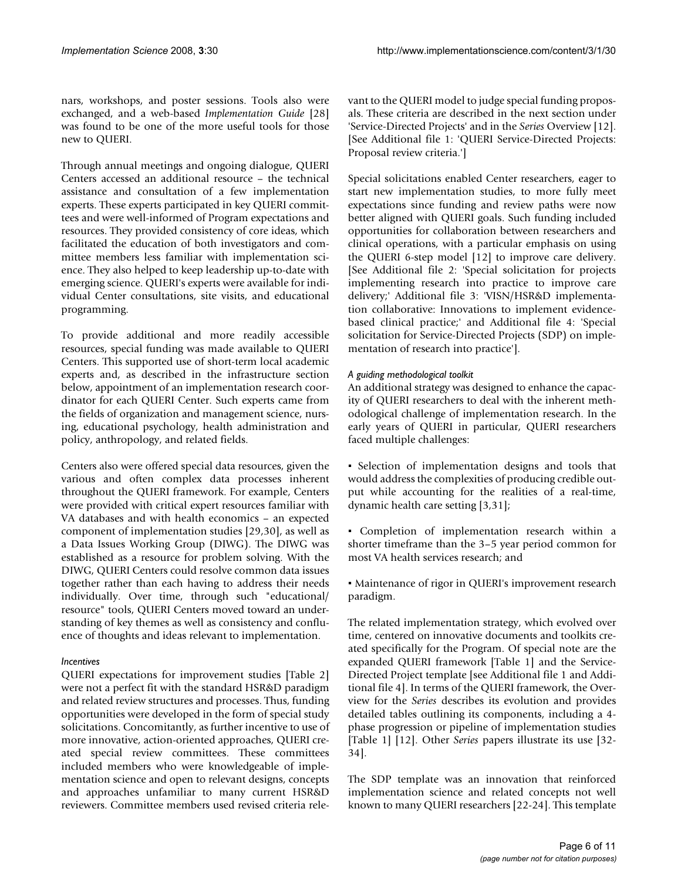nars, workshops, and poster sessions. Tools also were exchanged, and a web-based *Implementation Guide* [[28\]](#page-10-5) was found to be one of the more useful tools for those new to QUERI.

Through annual meetings and ongoing dialogue, QUERI Centers accessed an additional resource – the technical assistance and consultation of a few implementation experts. These experts participated in key QUERI committees and were well-informed of Program expectations and resources. They provided consistency of core ideas, which facilitated the education of both investigators and committee members less familiar with implementation science. They also helped to keep leadership up-to-date with emerging science. QUERI's experts were available for individual Center consultations, site visits, and educational programming.

To provide additional and more readily accessible resources, special funding was made available to QUERI Centers. This supported use of short-term local academic experts and, as described in the infrastructure section below, appointment of an implementation research coordinator for each QUERI Center. Such experts came from the fields of organization and management science, nursing, educational psychology, health administration and policy, anthropology, and related fields.

Centers also were offered special data resources, given the various and often complex data processes inherent throughout the QUERI framework. For example, Centers were provided with critical expert resources familiar with VA databases and with health economics – an expected component of implementation studies [[29,](#page-10-6)[30](#page-10-7)], as well as a Data Issues Working Group (DIWG). The DIWG was established as a resource for problem solving. With the DIWG, QUERI Centers could resolve common data issues together rather than each having to address their needs individually. Over time, through such "educational/ resource" tools, QUERI Centers moved toward an understanding of key themes as well as consistency and confluence of thoughts and ideas relevant to implementation.

#### *Incentives*

QUERI expectations for improvement studies [Table [2\]](#page-4-0) were not a perfect fit with the standard HSR&D paradigm and related review structures and processes. Thus, funding opportunities were developed in the form of special study solicitations. Concomitantly, as further incentive to use of more innovative, action-oriented approaches, QUERI created special review committees. These committees included members who were knowledgeable of implementation science and open to relevant designs, concepts and approaches unfamiliar to many current HSR&D reviewers. Committee members used revised criteria relevant to the QUERI model to judge special funding proposals. These criteria are described in the next section under 'Service-Directed Projects' and in the *Series* Overview [\[12](#page-9-10)]. [See Additional file [1](#page-9-21): 'QUERI Service-Directed Projects: Proposal review criteria.']

Special solicitations enabled Center researchers, eager to start new implementation studies, to more fully meet expectations since funding and review paths were now better aligned with QUERI goals. Such funding included opportunities for collaboration between researchers and clinical operations, with a particular emphasis on using the QUERI 6-step model [[12\]](#page-9-10) to improve care delivery. [See Additional file [2:](#page-9-22) 'Special solicitation for projects implementing research into practice to improve care delivery;' Additional file [3](#page-9-23): 'VISN/HSR&D implementation collaborative: Innovations to implement evidencebased clinical practice;' and Additional file [4:](#page-9-24) 'Special solicitation for Service-Directed Projects (SDP) on implementation of research into practice'].

#### *A guiding methodological toolkit*

An additional strategy was designed to enhance the capacity of QUERI researchers to deal with the inherent methodological challenge of implementation research. In the early years of QUERI in particular, QUERI researchers faced multiple challenges:

- Selection of implementation designs and tools that would address the complexities of producing credible output while accounting for the realities of a real-time, dynamic health care setting [\[3,](#page-9-2)[31](#page-10-8)];
- Completion of implementation research within a shorter timeframe than the 3–5 year period common for most VA health services research; and

▪ Maintenance of rigor in QUERI's improvement research paradigm.

The related implementation strategy, which evolved over time, centered on innovative documents and toolkits created specifically for the Program. Of special note are the expanded QUERI framework [Table [1](#page-1-0)] and the Service-Directed Project template [see Additional file [1](#page-9-21) and Additional file [4](#page-9-24)]. In terms of the QUERI framework, the Overview for the *Series* describes its evolution and provides detailed tables outlining its components, including a 4 phase progression or pipeline of implementation studies [Table [1](#page-1-0)] [[12\]](#page-9-10). Other *Series* papers illustrate its use [\[32-](#page-10-9) [34\]](#page-10-10).

The SDP template was an innovation that reinforced implementation science and related concepts not well known to many QUERI researchers [[22](#page-9-20)-[24](#page-10-0)]. This template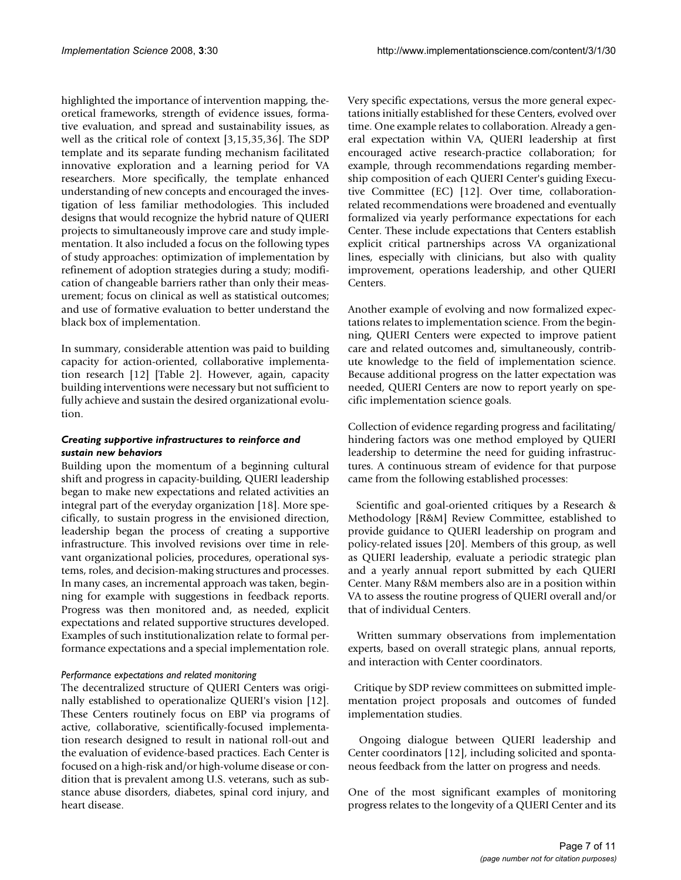highlighted the importance of intervention mapping, theoretical frameworks, strength of evidence issues, formative evaluation, and spread and sustainability issues, as well as the critical role of context [[3](#page-9-2),[15](#page-9-13),[35,](#page-10-11)[36](#page-10-12)]. The SDP template and its separate funding mechanism facilitated innovative exploration and a learning period for VA researchers. More specifically, the template enhanced understanding of new concepts and encouraged the investigation of less familiar methodologies. This included designs that would recognize the hybrid nature of QUERI projects to simultaneously improve care and study implementation. It also included a focus on the following types of study approaches: optimization of implementation by refinement of adoption strategies during a study; modification of changeable barriers rather than only their measurement; focus on clinical as well as statistical outcomes; and use of formative evaluation to better understand the black box of implementation.

In summary, considerable attention was paid to building capacity for action-oriented, collaborative implementation research [\[12\]](#page-9-10) [Table [2\]](#page-4-0). However, again, capacity building interventions were necessary but not sufficient to fully achieve and sustain the desired organizational evolution.

#### *Creating supportive infrastructures to reinforce and sustain new behaviors*

Building upon the momentum of a beginning cultural shift and progress in capacity-building, QUERI leadership began to make new expectations and related activities an integral part of the everyday organization [\[18\]](#page-9-16). More specifically, to sustain progress in the envisioned direction, leadership began the process of creating a supportive infrastructure. This involved revisions over time in relevant organizational policies, procedures, operational systems, roles, and decision-making structures and processes. In many cases, an incremental approach was taken, beginning for example with suggestions in feedback reports. Progress was then monitored and, as needed, explicit expectations and related supportive structures developed. Examples of such institutionalization relate to formal performance expectations and a special implementation role.

#### *Performance expectations and related monitoring*

The decentralized structure of QUERI Centers was originally established to operationalize QUERI's vision [\[12](#page-9-10)]. These Centers routinely focus on EBP via programs of active, collaborative, scientifically-focused implementation research designed to result in national roll-out and the evaluation of evidence-based practices. Each Center is focused on a high-risk and/or high-volume disease or condition that is prevalent among U.S. veterans, such as substance abuse disorders, diabetes, spinal cord injury, and heart disease.

Very specific expectations, versus the more general expectations initially established for these Centers, evolved over time. One example relates to collaboration. Already a general expectation within VA, QUERI leadership at first encouraged active research-practice collaboration; for example, through recommendations regarding membership composition of each QUERI Center's guiding Executive Committee (EC) [\[12](#page-9-10)]. Over time, collaborationrelated recommendations were broadened and eventually formalized via yearly performance expectations for each Center. These include expectations that Centers establish explicit critical partnerships across VA organizational lines, especially with clinicians, but also with quality improvement, operations leadership, and other QUERI Centers.

Another example of evolving and now formalized expectations relates to implementation science. From the beginning, QUERI Centers were expected to improve patient care and related outcomes and, simultaneously, contribute knowledge to the field of implementation science. Because additional progress on the latter expectation was needed, QUERI Centers are now to report yearly on specific implementation science goals.

Collection of evidence regarding progress and facilitating/ hindering factors was one method employed by QUERI leadership to determine the need for guiding infrastructures. A continuous stream of evidence for that purpose came from the following established processes:

 Scientific and goal-oriented critiques by a Research & Methodology [R&M] Review Committee, established to provide guidance to QUERI leadership on program and policy-related issues [[20\]](#page-9-18). Members of this group, as well as QUERI leadership, evaluate a periodic strategic plan and a yearly annual report submitted by each QUERI Center. Many R&M members also are in a position within VA to assess the routine progress of QUERI overall and/or that of individual Centers.

 Written summary observations from implementation experts, based on overall strategic plans, annual reports, and interaction with Center coordinators.

 Critique by SDP review committees on submitted implementation project proposals and outcomes of funded implementation studies.

 Ongoing dialogue between QUERI leadership and Center coordinators [\[12](#page-9-10)], including solicited and spontaneous feedback from the latter on progress and needs.

One of the most significant examples of monitoring progress relates to the longevity of a QUERI Center and its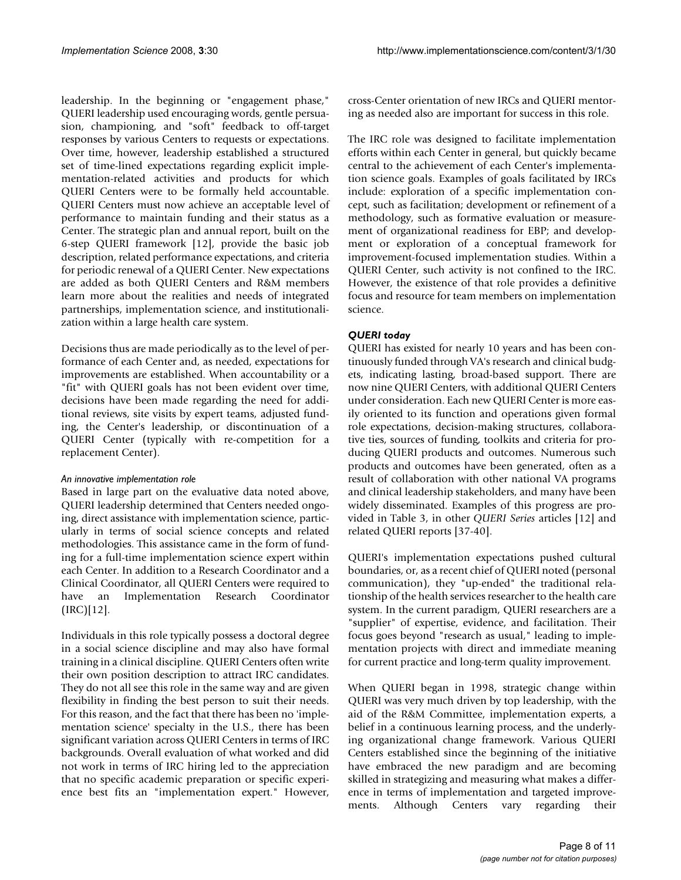leadership. In the beginning or "engagement phase," QUERI leadership used encouraging words, gentle persuasion, championing, and "soft" feedback to off-target responses by various Centers to requests or expectations. Over time, however, leadership established a structured set of time-lined expectations regarding explicit implementation-related activities and products for which QUERI Centers were to be formally held accountable. QUERI Centers must now achieve an acceptable level of performance to maintain funding and their status as a Center. The strategic plan and annual report, built on the 6-step QUERI framework [\[12](#page-9-10)], provide the basic job description, related performance expectations, and criteria for periodic renewal of a QUERI Center. New expectations are added as both QUERI Centers and R&M members learn more about the realities and needs of integrated partnerships, implementation science, and institutionalization within a large health care system.

Decisions thus are made periodically as to the level of performance of each Center and, as needed, expectations for improvements are established. When accountability or a "fit" with QUERI goals has not been evident over time, decisions have been made regarding the need for additional reviews, site visits by expert teams, adjusted funding, the Center's leadership, or discontinuation of a QUERI Center (typically with re-competition for a replacement Center).

#### *An innovative implementation role*

Based in large part on the evaluative data noted above, QUERI leadership determined that Centers needed ongoing, direct assistance with implementation science, particularly in terms of social science concepts and related methodologies. This assistance came in the form of funding for a full-time implementation science expert within each Center. In addition to a Research Coordinator and a Clinical Coordinator, all QUERI Centers were required to have an Implementation Research Coordinator (IRC)[\[12](#page-9-10)].

Individuals in this role typically possess a doctoral degree in a social science discipline and may also have formal training in a clinical discipline. QUERI Centers often write their own position description to attract IRC candidates. They do not all see this role in the same way and are given flexibility in finding the best person to suit their needs. For this reason, and the fact that there has been no 'implementation science' specialty in the U.S., there has been significant variation across QUERI Centers in terms of IRC backgrounds. Overall evaluation of what worked and did not work in terms of IRC hiring led to the appreciation that no specific academic preparation or specific experience best fits an "implementation expert." However,

cross-Center orientation of new IRCs and QUERI mentoring as needed also are important for success in this role.

The IRC role was designed to facilitate implementation efforts within each Center in general, but quickly became central to the achievement of each Center's implementation science goals. Examples of goals facilitated by IRCs include: exploration of a specific implementation concept, such as facilitation; development or refinement of a methodology, such as formative evaluation or measurement of organizational readiness for EBP; and development or exploration of a conceptual framework for improvement-focused implementation studies. Within a QUERI Center, such activity is not confined to the IRC. However, the existence of that role provides a definitive focus and resource for team members on implementation science.

#### *QUERI today*

QUERI has existed for nearly 10 years and has been continuously funded through VA's research and clinical budgets, indicating lasting, broad-based support. There are now nine QUERI Centers, with additional QUERI Centers under consideration. Each new QUERI Center is more easily oriented to its function and operations given formal role expectations, decision-making structures, collaborative ties, sources of funding, toolkits and criteria for producing QUERI products and outcomes. Numerous such products and outcomes have been generated, often as a result of collaboration with other national VA programs and clinical leadership stakeholders, and many have been widely disseminated. Examples of this progress are provided in Table [3,](#page-8-0) in other *QUERI Series* articles [[12](#page-9-10)] and related QUERI reports [\[37-](#page-10-13)[40\]](#page-10-14).

QUERI's implementation expectations pushed cultural boundaries, or, as a recent chief of QUERI noted (personal communication), they "up-ended" the traditional relationship of the health services researcher to the health care system. In the current paradigm, QUERI researchers are a "supplier" of expertise, evidence, and facilitation. Their focus goes beyond "research as usual," leading to implementation projects with direct and immediate meaning for current practice and long-term quality improvement.

When QUERI began in 1998, strategic change within QUERI was very much driven by top leadership, with the aid of the R&M Committee, implementation experts, a belief in a continuous learning process, and the underlying organizational change framework. Various QUERI Centers established since the beginning of the initiative have embraced the new paradigm and are becoming skilled in strategizing and measuring what makes a difference in terms of implementation and targeted improvements. Although Centers vary regarding their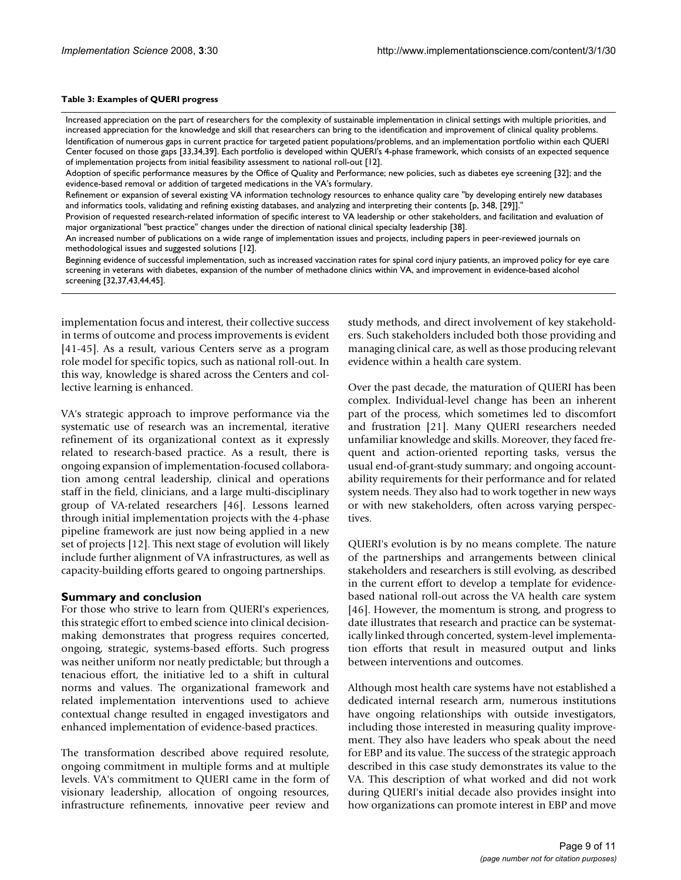#### <span id="page-8-0"></span>**Table 3: Examples of QUERI progress**

Increased appreciation on the part of researchers for the complexity of sustainable implementation in clinical settings with multiple priorities, and increased appreciation for the knowledge and skill that researchers can bring to the identification and improvement of clinical quality problems. Identification of numerous gaps in current practice for targeted patient populations/problems, and an implementation portfolio within each QUERI Center focused on those gaps [33,34,39]. Each portfolio is developed within QUERI's 4-phase framework, which consists of an expected sequence of implementation projects from initial feasibility assessment to national roll-out [12].

Adoption of specific performance measures by the Office of Quality and Performance; new policies, such as diabetes eye screening [32]; and the evidence-based removal or addition of targeted medications in the VA's formulary.

Refinement or expansion of several existing VA information technology resources to enhance quality care "by developing entirely new databases and informatics tools, validating and refining existing databases, and analyzing and interpreting their contents [p, 348, [29]]."

Provision of requested research-related information of specific interest to VA leadership or other stakeholders, and facilitation and evaluation of major organizational "best practice" changes under the direction of national clinical specialty leadership [38].

An increased number of publications on a wide range of implementation issues and projects, including papers in peer-reviewed journals on methodological issues and suggested solutions [12].

Beginning evidence of successful implementation, such as increased vaccination rates for spinal cord injury patients, an improved policy for eye care screening in veterans with diabetes, expansion of the number of methadone clinics within VA, and improvement in evidence-based alcohol screening [32,37,43,44,45].

implementation focus and interest, their collective success in terms of outcome and process improvements is evident [[41](#page-10-15)[-45](#page-10-16)]. As a result, various Centers serve as a program role model for specific topics, such as national roll-out. In this way, knowledge is shared across the Centers and collective learning is enhanced.

VA's strategic approach to improve performance via the systematic use of research was an incremental, iterative refinement of its organizational context as it expressly related to research-based practice. As a result, there is ongoing expansion of implementation-focused collaboration among central leadership, clinical and operations staff in the field, clinicians, and a large multi-disciplinary group of VA-related researchers [\[46](#page-10-17)]. Lessons learned through initial implementation projects with the 4-phase pipeline framework are just now being applied in a new set of projects [[12](#page-9-10)]. This next stage of evolution will likely include further alignment of VA infrastructures, as well as capacity-building efforts geared to ongoing partnerships.

#### **Summary and conclusion**

For those who strive to learn from QUERI's experiences, this strategic effort to embed science into clinical decisionmaking demonstrates that progress requires concerted, ongoing, strategic, systems-based efforts. Such progress was neither uniform nor neatly predictable; but through a tenacious effort, the initiative led to a shift in cultural norms and values. The organizational framework and related implementation interventions used to achieve contextual change resulted in engaged investigators and enhanced implementation of evidence-based practices.

The transformation described above required resolute, ongoing commitment in multiple forms and at multiple levels. VA's commitment to QUERI came in the form of visionary leadership, allocation of ongoing resources, infrastructure refinements, innovative peer review and

study methods, and direct involvement of key stakeholders. Such stakeholders included both those providing and managing clinical care, as well as those producing relevant evidence within a health care system.

Over the past decade, the maturation of QUERI has been complex. Individual-level change has been an inherent part of the process, which sometimes led to discomfort and frustration [[21\]](#page-9-19). Many QUERI researchers needed unfamiliar knowledge and skills. Moreover, they faced frequent and action-oriented reporting tasks, versus the usual end-of-grant-study summary; and ongoing accountability requirements for their performance and for related system needs. They also had to work together in new ways or with new stakeholders, often across varying perspectives.

QUERI's evolution is by no means complete. The nature of the partnerships and arrangements between clinical stakeholders and researchers is still evolving, as described in the current effort to develop a template for evidencebased national roll-out across the VA health care system [[46](#page-10-17)]. However, the momentum is strong, and progress to date illustrates that research and practice can be systematically linked through concerted, system-level implementation efforts that result in measured output and links between interventions and outcomes.

Although most health care systems have not established a dedicated internal research arm, numerous institutions have ongoing relationships with outside investigators, including those interested in measuring quality improvement. They also have leaders who speak about the need for EBP and its value. The success of the strategic approach described in this case study demonstrates its value to the VA. This description of what worked and did not work during QUERI's initial decade also provides insight into how organizations can promote interest in EBP and move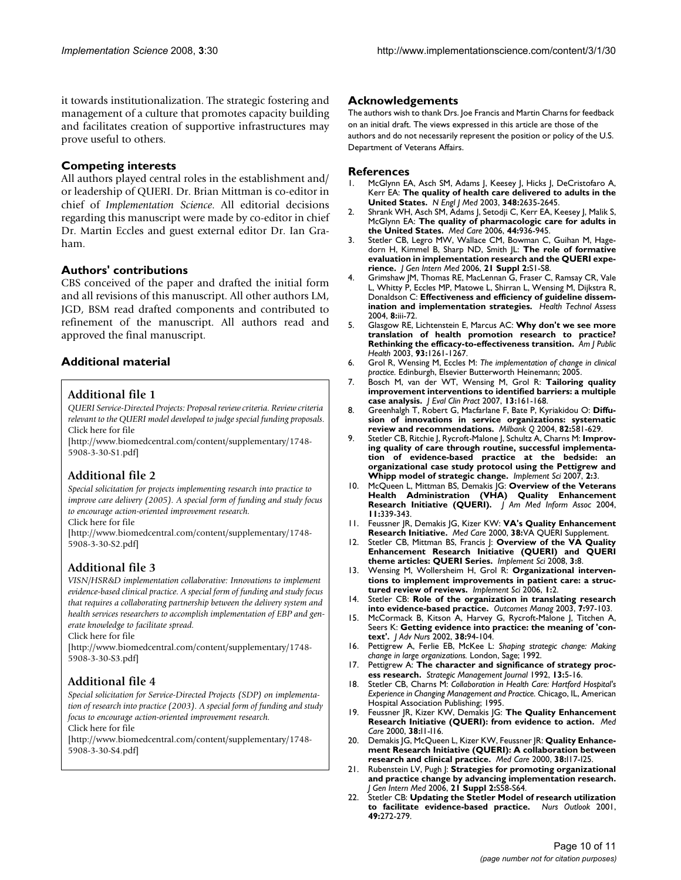it towards institutionalization. The strategic fostering and management of a culture that promotes capacity building and facilitates creation of supportive infrastructures may prove useful to others.

#### **Competing interests**

All authors played central roles in the establishment and/ or leadership of QUERI. Dr. Brian Mittman is co-editor in chief of *Implementation Science*. All editorial decisions regarding this manuscript were made by co-editor in chief Dr. Martin Eccles and guest external editor Dr. Ian Graham.

#### **Authors' contributions**

CBS conceived of the paper and drafted the initial form and all revisions of this manuscript. All other authors LM, JGD, BSM read drafted components and contributed to refinement of the manuscript. All authors read and approved the final manuscript.

#### **Additional material**

#### <span id="page-9-21"></span>**Additional file 1**

*QUERI Service-Directed Projects: Proposal review criteria. Review criteria relevant to the QUERI model developed to judge special funding proposals.* Click here for file

[\[http://www.biomedcentral.com/content/supplementary/1748-](http://www.biomedcentral.com/content/supplementary/1748-5908-3-30-S1.pdf) 5908-3-30-S1.pdf]

## <span id="page-9-22"></span>**Additional file 2**

*Special solicitation for projects implementing research into practice to improve care delivery (2005). A special form of funding and study focus to encourage action-oriented improvement research.*

Click here for file

[\[http://www.biomedcentral.com/content/supplementary/1748-](http://www.biomedcentral.com/content/supplementary/1748-5908-3-30-S2.pdf) 5908-3-30-S2.pdf]

## <span id="page-9-23"></span>**Additional file 3**

*VISN/HSR&D implementation collaborative: Innovations to implement evidence-based clinical practice. A special form of funding and study focus that requires a collaborating partnership between the delivery system and health services researchers to accomplish implementation of EBP and generate knowledge to facilitate spread.*

Click here for file

[\[http://www.biomedcentral.com/content/supplementary/1748-](http://www.biomedcentral.com/content/supplementary/1748-5908-3-30-S3.pdf) 5908-3-30-S3.pdf]

## <span id="page-9-24"></span>**Additional file 4**

*Special solicitation for Service-Directed Projects (SDP) on implementation of research into practice (2003). A special form of funding and study focus to encourage action-oriented improvement research.*

Click here for file

[\[http://www.biomedcentral.com/content/supplementary/1748-](http://www.biomedcentral.com/content/supplementary/1748-5908-3-30-S4.pdf) 5908-3-30-S4.pdf]

#### **Acknowledgements**

The authors wish to thank Drs. Joe Francis and Martin Charns for feedback on an initial draft. The views expressed in this article are those of the authors and do not necessarily represent the position or policy of the U.S. Department of Veterans Affairs.

#### **References**

- <span id="page-9-0"></span>McGlynn EA, Asch SM, Adams J, Keesey J, Hicks J, DeCristofaro A, Kerr EA: **[The quality of health care delivered to adults in the](http://www.ncbi.nlm.nih.gov/entrez/query.fcgi?cmd=Retrieve&db=PubMed&dopt=Abstract&list_uids=12826639) [United States.](http://www.ncbi.nlm.nih.gov/entrez/query.fcgi?cmd=Retrieve&db=PubMed&dopt=Abstract&list_uids=12826639)** *N Engl J Med* 2003, **348:**2635-2645.
- <span id="page-9-1"></span>2. Shrank WH, Asch SM, Adams J, Setodji C, Kerr EA, Keesey J, Malik S, McGlynn EA: **[The quality of pharmacologic care for adults in](http://www.ncbi.nlm.nih.gov/entrez/query.fcgi?cmd=Retrieve&db=PubMed&dopt=Abstract&list_uids=17001265) [the United States.](http://www.ncbi.nlm.nih.gov/entrez/query.fcgi?cmd=Retrieve&db=PubMed&dopt=Abstract&list_uids=17001265)** *Med Care* 2006, **44:**936-945.
- <span id="page-9-2"></span>3. Stetler CB, Legro MW, Wallace CM, Bowman C, Guihan M, Hagedorn H, Kimmel B, Sharp ND, Smith JL: **[The role of formative](http://www.ncbi.nlm.nih.gov/entrez/query.fcgi?cmd=Retrieve&db=PubMed&dopt=Abstract&list_uids=16637954) [evaluation in implementation research and the QUERI expe](http://www.ncbi.nlm.nih.gov/entrez/query.fcgi?cmd=Retrieve&db=PubMed&dopt=Abstract&list_uids=16637954)[rience.](http://www.ncbi.nlm.nih.gov/entrez/query.fcgi?cmd=Retrieve&db=PubMed&dopt=Abstract&list_uids=16637954)** *J Gen Intern Med* 2006, **21 Suppl 2:**S1-S8.
- 4. Grimshaw JM, Thomas RE, MacLennan G, Fraser C, Ramsay CR, Vale L, Whitty P, Eccles MP, Matowe L, Shirran L, Wensing M, Dijkstra R, Donaldson C: **[Effectiveness and efficiency of guideline dissem](http://www.ncbi.nlm.nih.gov/entrez/query.fcgi?cmd=Retrieve&db=PubMed&dopt=Abstract&list_uids=14960256)[ination and implementation strategies.](http://www.ncbi.nlm.nih.gov/entrez/query.fcgi?cmd=Retrieve&db=PubMed&dopt=Abstract&list_uids=14960256)** *Health Technol Assess* 2004, **8:**iii-72.
- <span id="page-9-3"></span>5. Glasgow RE, Lichtenstein E, Marcus AC: **[Why don't we see more](http://www.ncbi.nlm.nih.gov/entrez/query.fcgi?cmd=Retrieve&db=PubMed&dopt=Abstract&list_uids=12893608) [translation of health promotion research to practice?](http://www.ncbi.nlm.nih.gov/entrez/query.fcgi?cmd=Retrieve&db=PubMed&dopt=Abstract&list_uids=12893608) [Rethinking the efficacy-to-effectiveness transition.](http://www.ncbi.nlm.nih.gov/entrez/query.fcgi?cmd=Retrieve&db=PubMed&dopt=Abstract&list_uids=12893608)** *Am J Public Health* 2003, **93:**1261-1267.
- <span id="page-9-4"></span>6. Grol R, Wensing M, Eccles M: *The implementation of change in clinical practice.* Edinburgh, Elsevier Butterworth Heinemann; 2005.
- <span id="page-9-5"></span>7. Bosch M, van der WT, Wensing M, Grol R: **[Tailoring quality](http://www.ncbi.nlm.nih.gov/entrez/query.fcgi?cmd=Retrieve&db=PubMed&dopt=Abstract&list_uids=17378860) [improvement interventions to identified barriers: a multiple](http://www.ncbi.nlm.nih.gov/entrez/query.fcgi?cmd=Retrieve&db=PubMed&dopt=Abstract&list_uids=17378860) [case analysis.](http://www.ncbi.nlm.nih.gov/entrez/query.fcgi?cmd=Retrieve&db=PubMed&dopt=Abstract&list_uids=17378860)** *J Eval Clin Pract* 2007, **13:**161-168.
- <span id="page-9-6"></span>8. Greenhalgh T, Robert G, Macfarlane F, Bate P, Kyriakidou O: **[Diffu](http://www.ncbi.nlm.nih.gov/entrez/query.fcgi?cmd=Retrieve&db=PubMed&dopt=Abstract&list_uids=15595944)[sion of innovations in service organizations: systematic](http://www.ncbi.nlm.nih.gov/entrez/query.fcgi?cmd=Retrieve&db=PubMed&dopt=Abstract&list_uids=15595944) [review and recommendations.](http://www.ncbi.nlm.nih.gov/entrez/query.fcgi?cmd=Retrieve&db=PubMed&dopt=Abstract&list_uids=15595944)** *Milbank Q* 2004, **82:**581-629.
- <span id="page-9-7"></span>Stetler CB, Ritchie J, Rycroft-Malone J, Schultz A, Charns M: [Improv](http://www.ncbi.nlm.nih.gov/entrez/query.fcgi?cmd=Retrieve&db=PubMed&dopt=Abstract&list_uids=17266756)**[ing quality of care through routine, successful implementa](http://www.ncbi.nlm.nih.gov/entrez/query.fcgi?cmd=Retrieve&db=PubMed&dopt=Abstract&list_uids=17266756)tion of evidence-based practice at the bedside: an organizational case study protocol using the Pettigrew and [Whipp model of strategic change.](http://www.ncbi.nlm.nih.gov/entrez/query.fcgi?cmd=Retrieve&db=PubMed&dopt=Abstract&list_uids=17266756)** *Implement Sci* 2007, **2:**3.
- <span id="page-9-8"></span>10. McQueen L, Mittman BS, Demakis JG: **[Overview of the Veterans](http://www.ncbi.nlm.nih.gov/entrez/query.fcgi?cmd=Retrieve&db=PubMed&dopt=Abstract&list_uids=15187071) [Health Administration \(VHA\) Quality Enhancement](http://www.ncbi.nlm.nih.gov/entrez/query.fcgi?cmd=Retrieve&db=PubMed&dopt=Abstract&list_uids=15187071) [Research Initiative \(QUERI\).](http://www.ncbi.nlm.nih.gov/entrez/query.fcgi?cmd=Retrieve&db=PubMed&dopt=Abstract&list_uids=15187071)** *J Am Med Inform Assoc* 2004, **11:**339-343.
- <span id="page-9-9"></span>11. Feussner JR, Demakis JG, Kizer KW: **VA's Quality Enhancement Research Initiative.** *Med Care* 2000, **38:**VA QUERI Supplement.
- <span id="page-9-10"></span>12. Stetler CB, Mittman BS, Francis |: **[Overview of the VA Quality](http://www.ncbi.nlm.nih.gov/entrez/query.fcgi?cmd=Retrieve&db=PubMed&dopt=Abstract&list_uids=18279503) [Enhancement Research Initiative \(QUERI\) and QUERI](http://www.ncbi.nlm.nih.gov/entrez/query.fcgi?cmd=Retrieve&db=PubMed&dopt=Abstract&list_uids=18279503) [theme articles: QUERI Series.](http://www.ncbi.nlm.nih.gov/entrez/query.fcgi?cmd=Retrieve&db=PubMed&dopt=Abstract&list_uids=18279503)** *Implement Sci* 2008, **3:**8.
- <span id="page-9-11"></span>13. Wensing M, Wollersheim H, Grol R: **[Organizational interven](http://www.ncbi.nlm.nih.gov/entrez/query.fcgi?cmd=Retrieve&db=PubMed&dopt=Abstract&list_uids=16722567)[tions to implement improvements in patient care: a struc](http://www.ncbi.nlm.nih.gov/entrez/query.fcgi?cmd=Retrieve&db=PubMed&dopt=Abstract&list_uids=16722567)[tured review of reviews.](http://www.ncbi.nlm.nih.gov/entrez/query.fcgi?cmd=Retrieve&db=PubMed&dopt=Abstract&list_uids=16722567)** *Implement Sci* 2006, **1:**2.
- <span id="page-9-12"></span>14. Stetler CB: **[Role of the organization in translating research](http://www.ncbi.nlm.nih.gov/entrez/query.fcgi?cmd=Retrieve&db=PubMed&dopt=Abstract&list_uids=12881970) [into evidence-based practice.](http://www.ncbi.nlm.nih.gov/entrez/query.fcgi?cmd=Retrieve&db=PubMed&dopt=Abstract&list_uids=12881970)** *Outcomes Manag* 2003, **7:**97-103.
- <span id="page-9-13"></span>15. McCormack B, Kitson A, Harvey G, Rycroft-Malone J, Titchen A, Seers K: **[Getting evidence into practice: the meaning of 'con](http://www.ncbi.nlm.nih.gov/entrez/query.fcgi?cmd=Retrieve&db=PubMed&dopt=Abstract&list_uids=11895535)[text'.](http://www.ncbi.nlm.nih.gov/entrez/query.fcgi?cmd=Retrieve&db=PubMed&dopt=Abstract&list_uids=11895535)** *J Adv Nurs* 2002, **38:**94-104.
- <span id="page-9-14"></span>16. Pettigrew A, Ferlie EB, McKee L: *Shaping strategic change: Making change in large organizations.* London, Sage; 1992.
- <span id="page-9-15"></span>17. Pettigrew A: **The character and significance of strategy process research.** *Strategic Management Journal* 1992, **13:**5-16.
- <span id="page-9-16"></span>18. Stetler CB, Charns M: *Collaboration in Health Care: Hartford Hospital's Experience in Changing Management and Practice.* Chicago, IL, American Hospital Association Publishing; 1995.
- <span id="page-9-17"></span>19. Feussner JR, Kizer KW, Demakis JG: **[The Quality Enhancement](http://www.ncbi.nlm.nih.gov/entrez/query.fcgi?cmd=Retrieve&db=PubMed&dopt=Abstract&list_uids=10843265) [Research Initiative \(QUERI\): from evidence to action.](http://www.ncbi.nlm.nih.gov/entrez/query.fcgi?cmd=Retrieve&db=PubMed&dopt=Abstract&list_uids=10843265)** *Med Care* 2000, **38:**I1-I16.
- <span id="page-9-18"></span>20. Demakis JG, McQueen L, Kizer KW, Feussner JR: **[Quality Enhance](http://www.ncbi.nlm.nih.gov/entrez/query.fcgi?cmd=Retrieve&db=PubMed&dopt=Abstract&list_uids=10843267)[ment Research Initiative \(QUERI\): A collaboration between](http://www.ncbi.nlm.nih.gov/entrez/query.fcgi?cmd=Retrieve&db=PubMed&dopt=Abstract&list_uids=10843267) [research and clinical practice.](http://www.ncbi.nlm.nih.gov/entrez/query.fcgi?cmd=Retrieve&db=PubMed&dopt=Abstract&list_uids=10843267)** *Med Care* 2000, **38:**I17-I25.
- <span id="page-9-19"></span>21. Rubenstein LV, Pugh J: **[Strategies for promoting organizational](http://www.ncbi.nlm.nih.gov/entrez/query.fcgi?cmd=Retrieve&db=PubMed&dopt=Abstract&list_uids=16637962) [and practice change by advancing implementation research.](http://www.ncbi.nlm.nih.gov/entrez/query.fcgi?cmd=Retrieve&db=PubMed&dopt=Abstract&list_uids=16637962)** *J Gen Intern Med* 2006, **21 Suppl 2:**S58-S64.
- <span id="page-9-20"></span>22. Stetler CB: **[Updating the Stetler Model of research utilization](http://www.ncbi.nlm.nih.gov/entrez/query.fcgi?cmd=Retrieve&db=PubMed&dopt=Abstract&list_uids=11753294) [to facilitate evidence-based practice.](http://www.ncbi.nlm.nih.gov/entrez/query.fcgi?cmd=Retrieve&db=PubMed&dopt=Abstract&list_uids=11753294)** *Nurs Outlook* 2001, **49:**272-279.